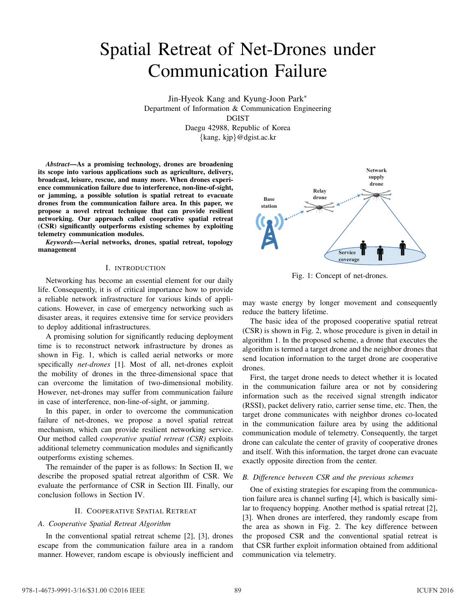# Spatial Retreat of Net-Drones under Communication Failure

Jin-Hyeok Kang and Kyung-Joon Park*∗* Department of Information & Communication Engineering DGIST Daegu 42988, Republic of Korea *{*kang, kjp*}*@dgist.ac.kr

*Abstract*—As a promising technology, drones are broadening its scope into various applications such as agriculture, delivery, broadcast, leisure, rescue, and many more. When drones experience communication failure due to interference, non-line-of-sight, or jamming, a possible solution is spatial retreat to evacuate drones from the communication failure area. In this paper, we propose a novel retreat technique that can provide resilient networking. Our approach called cooperative spatial retreat (CSR) significantly outperforms existing schemes by exploiting telemetry communication modules.

*Keywords*—Aerial networks, drones, spatial retreat, topology management

## I. INTRODUCTION

Networking has become an essential element for our daily life. Consequently, it is of critical importance how to provide a reliable network infrastructure for various kinds of applications. However, in case of emergency networking such as disaster areas, it requires extensive time for service providers to deploy additional infrastructures.

A promising solution for significantly reducing deployment time is to reconstruct network infrastructure by drones as shown in Fig. 1, which is called aerial networks or more specifically *net-drones* [1]. Most of all, net-drones exploit the mobility of drones in the three-dimensional space that can overcome the limitation of two-dimensional mobility. However, net-drones may suffer from communication failure in case of interference, non-line-of-sight, or jamming.

In this paper, in order to overcome the communication failure of net-drones, we propose a novel spatial retreat mechanism, which can provide resilient networking service. Our method called *cooperative spatial retreat (CSR)* exploits additional telemetry communication modules and significantly outperforms existing schemes.

The remainder of the paper is as follows: In Section II, we describe the proposed spatial retreat algorithm of CSR. We evaluate the performance of CSR in Section III. Finally, our conclusion follows in Section IV.

## II. COOPERATIVE SPATIAL RETREAT

## *A. Cooperative Spatial Retreat Algorithm*

In the conventional spatial retreat scheme [2], [3], drones escape from the communication failure area in a random manner. However, random escape is obviously inefficient and



Fig. 1: Concept of net-drones.

may waste energy by longer movement and consequently reduce the battery lifetime.

The basic idea of the proposed cooperative spatial retreat (CSR) is shown in Fig. 2, whose procedure is given in detail in algorithm 1. In the proposed scheme, a drone that executes the algorithm is termed a target drone and the neighbor drones that send location information to the target drone are cooperative drones.

First, the target drone needs to detect whether it is located in the communication failure area or not by considering information such as the received signal strength indicator (RSSI), packet delivery ratio, carrier sense time, etc. Then, the target drone communicates with neighbor drones co-located in the communication failure area by using the additional communication module of telemetry. Consequently, the target drone can calculate the center of gravity of cooperative drones and itself. With this information, the target drone can evacuate exactly opposite direction from the center.

## *B. Difference between CSR and the previous schemes*

One of existing strategies for escaping from the communication failure area is channel surfing [4], which is basically similar to frequency hopping. Another method is spatial retreat [2], [3]. When drones are interfered, they randomly escape from the area as shown in Fig. 2. The key difference between the proposed CSR and the conventional spatial retreat is that CSR further exploit information obtained from additional communication via telemetry.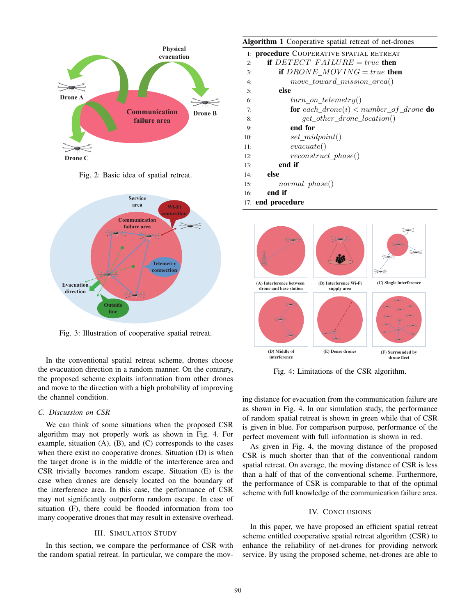

Fig. 2: Basic idea of spatial retreat.



Fig. 3: Illustration of cooperative spatial retreat.

In the conventional spatial retreat scheme, drones choose the evacuation direction in a random manner. On the contrary, the proposed scheme exploits information from other drones and move to the direction with a high probability of improving the channel condition.

#### *C. Discussion on CSR*

We can think of some situations when the proposed CSR algorithm may not properly work as shown in Fig. 4. For example, situation  $(A)$ ,  $(B)$ , and  $(C)$  corresponds to the cases when there exist no cooperative drones. Situation (D) is when the target drone is in the middle of the interference area and CSR trivially becomes random escape. Situation (E) is the case when drones are densely located on the boundary of the interference area. In this case, the performance of CSR may not significantly outperform random escape. In case of situation (F), there could be flooded information from too many cooperative drones that may result in extensive overhead.

### III. SIMULATION STUDY

In this section, we compare the performance of CSR with the random spatial retreat. In particular, we compare the mov-

# Algorithm 1 Cooperative spatial retreat of net-drones

| 1: <b>procedure</b> COOPERATIVE SPATIAL RETREAT |                                            |  |
|-------------------------------------------------|--------------------------------------------|--|
| 2:                                              | if $DETECT$ $FAILURE = true$ then          |  |
| 3:                                              | if $DRONE_MOVING = true$ then              |  |
| 4:                                              | move_toward_mission_area()                 |  |
| 5:                                              | else                                       |  |
| 6:                                              | $turn\_on\_telementry()$                   |  |
| 7:                                              | for each_drone(i) < $number\_of\_drone$ do |  |
| 8:                                              | $get\_other\_drone\_location()$            |  |
| 9:                                              | end for                                    |  |
| 10:                                             | $set\_midpoint()$                          |  |
| 11:                                             | $\mathit{evacuate}()$                      |  |
| 12:                                             | $reconstruct\_phase()$                     |  |
| 13:                                             | end if                                     |  |
| 14:                                             | else                                       |  |
| 15:                                             | $normal\_phase()$                          |  |
| 16:                                             | end if                                     |  |
| 17: end procedure                               |                                            |  |



Fig. 4: Limitations of the CSR algorithm.

ing distance for evacuation from the communication failure are as shown in Fig. 4. In our simulation study, the performance of random spatial retreat is shown in green while that of CSR is given in blue. For comparison purpose, performance of the perfect movement with full information is shown in red.

As given in Fig. 4, the moving distance of the proposed CSR is much shorter than that of the conventional random spatial retreat. On average, the moving distance of CSR is less than a half of that of the conventional scheme. Furthermore, the performance of CSR is comparable to that of the optimal scheme with full knowledge of the communication failure area.

## IV. CONCLUSIONS

In this paper, we have proposed an efficient spatial retreat scheme entitled cooperative spatial retreat algorithm (CSR) to enhance the reliability of net-drones for providing network service. By using the proposed scheme, net-drones are able to